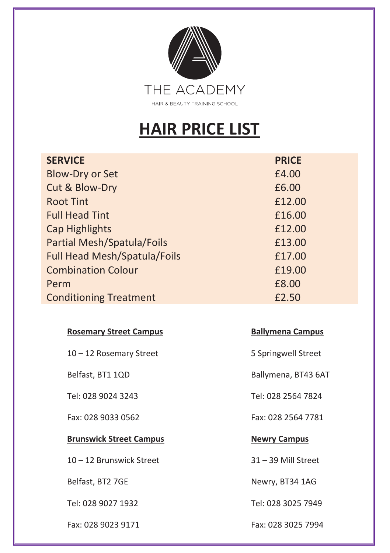

**BEAUTY TRAINING SCHOOL** 

## **HAIR PRICE LIST**

| <b>SERVICE</b>                      | <b>PRICE</b> |
|-------------------------------------|--------------|
| <b>Blow-Dry or Set</b>              | £4.00        |
| Cut & Blow-Dry                      | £6.00        |
| <b>Root Tint</b>                    | £12.00       |
| <b>Full Head Tint</b>               | £16.00       |
| <b>Cap Highlights</b>               | £12.00       |
| <b>Partial Mesh/Spatula/Foils</b>   | £13.00       |
| <b>Full Head Mesh/Spatula/Foils</b> | £17.00       |
| <b>Combination Colour</b>           | £19.00       |
| Perm                                | £8.00        |
| <b>Conditioning Treatment</b>       | £2.50        |
|                                     |              |

| <b>Rosemary Street Campus</b> |
|-------------------------------|
|-------------------------------|

Wax Underarm/Bikini £2.00 each

## **Brunswick Street Campus Newry Campus Newry Campus**

## **Ballymena Campus**

| 10 - 12 Rosemary Street        | 5 Springwell Street   |
|--------------------------------|-----------------------|
| Belfast, BT1 1QD               | Ballymena, BT43 6AT   |
| Tel: 028 9024 3243             | Tel: 028 2564 7824    |
| Fax: 028 9033 0562             | Fax: 028 2564 7781    |
| <b>Brunswick Street Campus</b> | <b>Newry Campus</b>   |
|                                |                       |
| 10 - 12 Brunswick Street       | $31 - 39$ Mill Street |
| Belfast, BT2 7GE               | Newry, BT34 1AG       |
| Tel: 028 9027 1932             | Tel: 028 3025 7949    |